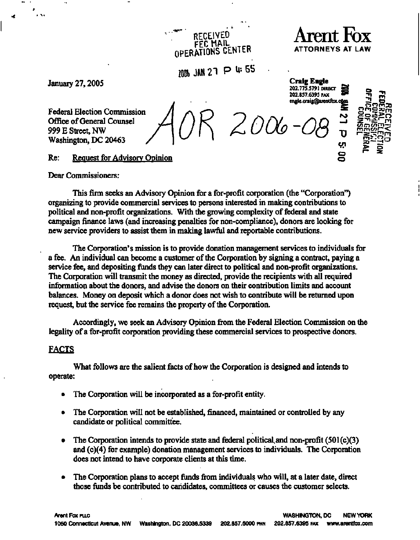# RECEIVED<br>FEC MAIL **Arent Fox OPERATIONS CENTER ATTORNEYS AT LAW**

**100b JAM 21 P \*<sup>5</sup> <sup>S</sup>**

**' 202.775.5791 DIRECT S -n 202.857.6395 FAX • - ^ m** 

**[engle.craig@arentfbx.cAm -](mailto:engle.craig@arentfbx.cAm)**

**en Cr —** 

**; -' O** 

**January 27, 2005 Craig Engle** 

**Federal Election Commission / / \** *f~}* **^-^ ~ §2§> R Office of General Counsel 999 E Street, NW**  Office of General Counsel<br>999 E Street, NW<br>Washington, DC 20463

**o Request for Advisory Opinion of Advisory Opinion of Advisory Opinion of Advisory Opinion** 

**Dear Commissioners:** 

**This firm seeks an Advisory Opinion for a for-profit corporation (the "Corporation") organizing to provide commercial services to persons interested in making contributions to political and non-profit organizations. With the growing complexity of federal and state campaign finance laws (and increasing penalties for non-compliance), donors are looking for new service providers to assist them in making lawful and reportable contributions.** 

**The Corporation's mission is to provide donation management services to individuals for a fee. An individual can become a customer of the Corporation by signing a contract, paying a service fee, and depositing funds they can later direct to political and non-profit organizations. The Corporation will transmit the money as directed, provide the recipients with all required information about the donors, and advise the donors on their contribution limits and account balances. Money on deposit which a donor does not wish to contribute will be returned upon request, but the service fee remains the property of the Corporation.** 

**Accordingly, we seek an Advisory Opinion from the Federal Election Commission on the legality of a for-profit corporation providing these commercial services to prospective donors.** 

# **FACTS**

**What follows are the salient facts of how the Corporation is designed and intends to operate:** 

- **The Corporation will be incorporated as a for-profit entity.**
- **The Corporation will not be established, financed, maintained or controlled by any candidate or political committee.**
- **The Corporation intends to provide state and federal political, and non-profit (501 (c)(3) and (c)(4) for example) donation management services to individuals. The Corporation does not intend to have corporate clients at this time.**
- **The Corporation plans to accept funds from individuals who will, at a later date, direct those funds be contributed to candidates, committees or causes the customer selects.**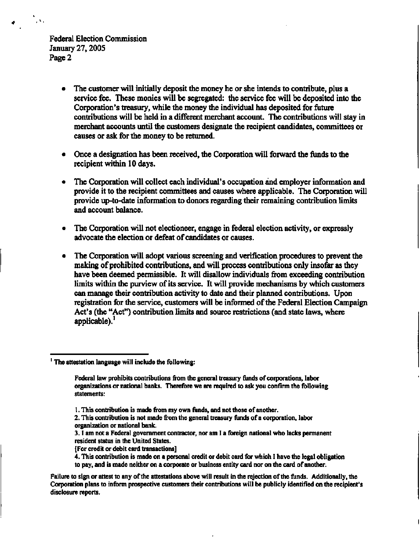$\mathcal{L}^{\mathcal{A}}$  .

- **The customer will initially deposit the money he or she intends to contribute, plus a service fee. These monies will be segregated: the service fee will be deposited into the Corporation's treasury, while the money the individual has deposited for future contributions will be held in a different merchant account. The contributions will stay in merchant accounts until the customers designate the recipient candidates, committees or causes or ask for the money to be returned.**
- **Once a designation has been received, the Corporation will forward the funds to the recipient within 10 days.**
- **The Corporation will collect each individual's occupation and employer information and provide it to the recipient committees and causes where applicable. The Corporation will provide up-to-date information to donors regarding their remaining contribution limits and account balance.**
- **The Corporation will not electioneer, engage in federal election activity, or expressly advocate the election or defeat of candidates or causes.**
- **The Corporation will adopt various screening and verification procedures to prevent the making of prohibited contributions, and will process contributions only insofar as they have been deemed permissible. It will disallow individuals from exceeding contribution limits within the purview of its service. It will provide mechanisms by which customers can manage their contribution activity to date and their planned contributions. Upon registration for the service, customers will be informed of the Federal Election Campaign Act's (the "Act") contribution limits and source restrictions (and state laws, where applicable).<sup>1</sup>**

**<sup>1</sup> The attestation language will include the following:** 

**Federal law prohibits contributions from the general treasury funds of corporations, labor organizations or national banks. Therefore we are required to ask you confirm the following statements:** 

**<sup>1.</sup> This contribution is made from my own funds, and not those of another.** 

**<sup>2.</sup> This contribution is not made from the general treasury funds of a corporation, labor organization or national bank.** 

**<sup>3.1</sup> am not a Federal government contractor, nor am I a foreign national who lacks permanent resident status in the United States.** 

**<sup>[</sup>For credit or debit card transactions]** 

**<sup>4.</sup> This contribution is made on a personal credit or debit card for which I have the legal obligation** 

**to pay, and is made neither on a corporate or business entity card nor on the card of another.** 

**Failure to sign or attest to any of the attestations above will result in the rejection of the funds. Additionally, the Corporation plans to inform prospective customers their contributions will be publicly identified on the recipient's disclosure reports.**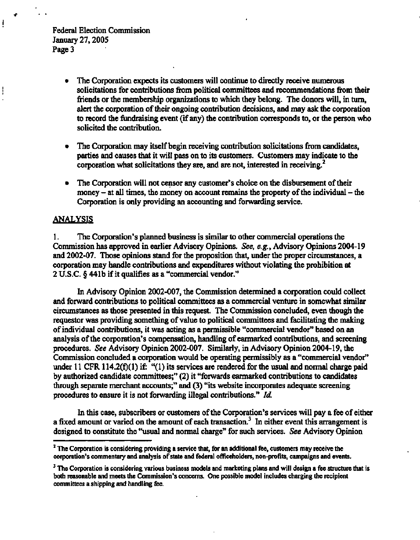Ţ

- **The Corporation expects its customers will continue to directly receive numerous solicitations for contributions from political committees and recommendations from their friends or the membership organizations to which they belong. The donors will, in turn, alert the corporation of their ongoing contribution decisions, and may ask the corporation to record the fundraising event (if any) the contribution corresponds to, or the person who solicited the contribution.**
- **The Corporation may itself begin receiving contribution solicitations from candidates, parties and causes that it will pass on to its customers. Customers may indicate to the corporation what solicitations they are, and are not, interested in receiving.<sup>2</sup>**
- **The Corporation will not censor any customer's choice on the disbursement of their money - at all times, the money on account remains the property of the individual - the Corporation is only providing an accounting and forwarding service.**

#### **ANALYSIS**

**1. The Corporation's planned business is similar to other commercial operations the Commission has approved in earlier Advisory Opinions.** *See, e.g.,* **Advisory Opinions 2004-19 and 2002-07. Those opinions stand for the proposition that, under the proper circumstances, a corporation may handle contributions and expenditures without violating the prohibition at 2 U.S.C. § 44lb if it qualifies as a "commercial vendor."** 

**In Advisory Opinion 2002-007, the Commission determined a corporation could collect and forward contributions to political committees as a commercial venture in somewhat similar circumstances as those presented in this request. The Commission concluded, even though the requestor was providing something of value to political committees and facilitating the making of individual contributions, it was acting as a permissible "commercial vendor" based on an analysis of the corporation's compensation, handling of earmarked contributions, and screening procedures.** *See* **Advisory Opinion 2002-007. Similarly, in Advisory Opinion 2004-19, the Commission concluded a corporation would be operating permissibly as a "commercial vendor" under 11 CFR 114.2(f)(1) if: "(1) its services are rendered for the usual and normal charge paid by authorized candidate committees;" (2) it "forwards earmarked contributions to candidates through separate merchant accounts;" and (3) "its website incorporates adequate screening procedures to ensure it is not forwarding illegal contributions."** *Id.* 

**In this case, subscribers or customers of the Corporation's services will pay a fee of either a fixed amount or varied on the amount of each transaction.<sup>3</sup> In either event this arrangement is designed to constitute the "usual and normal charge" for such services.** *See* **Advisory Opinion** 

**<sup>2</sup> The Corporation is considering providing a service that, for an additional fee, customers may receive the corporation's commentary and analysis of state and federal officeholders, non-profits, campaigns and events.** 

**<sup>3</sup> The Corporation is considering various business models and marketing plans and will design a fee structure that is both reasonable and meets the Commission's concerns. One possible model includes charging the recipient committees a shipping and handling fee.**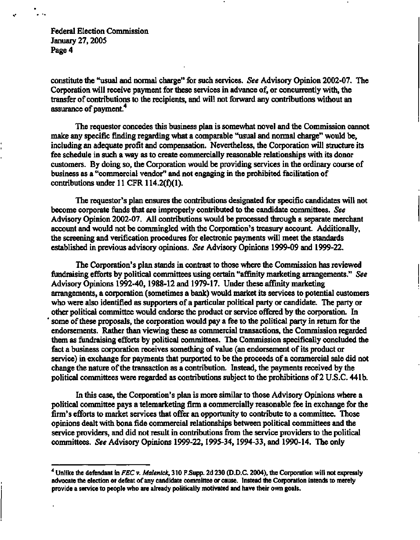**constitute the "usual and normal charge" for such services.** *See* **Advisory Opinion 2002-07. The Corporation will receive payment for these services in advance of, or concurrently with, the transfer of contributions to the recipients, and will not forward any contributions without an assurance of payment.<sup>4</sup>**

**The requestor concedes this business plan is somewhat novel and the Commission cannot make any specific finding regarding what a comparable "usual and normal charge" would be, including an adequate profit and compensation. Nevertheless, the Corporation will structure its fee schedule in such a way as to create commercially reasonable relationships with its donor customers. By doing so, the Corporation would be providing services in the ordinary course of business as a "commercial vendor" and not engaging in the prohibited facilitation of contributions under 11 CFR 114.2(f)(1).** 

**The requestor's plan ensures the contributions designated for specific candidates will not become corporate funds that are improperly contributed to the candidate committees.** *See*  **Advisory Opinion 2002-07. All contributions would be processed through a separate merchant account and would not be commingled with the Corporation's treasury account. Additionally, the screening and verification procedures for electronic payments will meet the standards established in previous advisory opinions.** *See* **Advisory Opinions 1999-09 and 1999-22.** 

**The Corporation's plan stands in contrast to those where the Commission has reviewed fundraising efforts by political committees using certain "affinity marketing arrangements."** *See*  **Advisory Opinions 1992-40,1988-12 and 1979-17. Under these affinity marketing arrangements, a corporation (sometimes a bank) would market its services to potential customers who were also identified as supporters of a particular political party or candidate. The party or other political committee would endorse the product or service offered by the corporation. In some of these proposals, the corporation would pay a fee to the political party in return for the endorsements. Rather than viewing these as commercial transactions, the Commission regarded them as fundraising efforts by political committees. The Commission specifically concluded the fact a business corporation receives something of value (an endorsement of its product or service) in exchange for payments that purported to be the proceeds of a commercial sale did not change the nature of the transaction as a contribution. Instead, the payments received by the political committees were regarded as contributions subject to the prohibitions of 2 U.S.C. 441b.** 

**In this case, the Corporation's plan is more similar to those Advisory Opinions where a political committee pays a telemarketing firm a commercially reasonable fee in exchange for the firm's efforts to market services that offer an opportunity to contribute to a committee. Those opinions dealt with bona fide commercial relationships between political committees and the service providers, and did not result in contributions from the service providers to the political committees.** *See* **Advisory Opinions 1999-22,1995-34,1994-33, and 1990-14. The only** 

**<sup>4</sup> Unlike the defendant in** *FEC* **v.** *Malenick,* **310 F.Supp. 2d 230 (D.D.C. 2004), the Corporation will not expressly advocate the election or defeat of any candidate committee or cause. Instead the Corporation intends to merely provide a service to people who are already politically motivated and have their own goals.**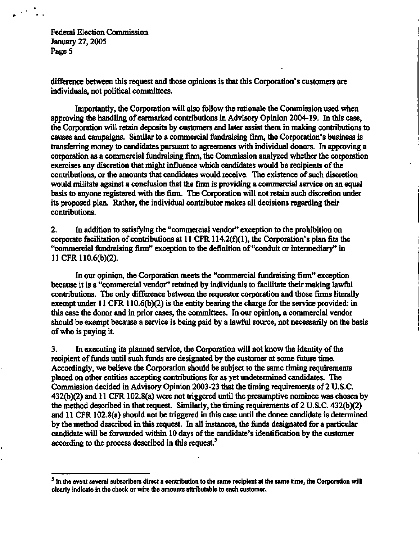$\mathcal{A} \in \mathcal{A}_{\mathrm{max}}$ 

**difference between this request and those opinions is that this Corporation's customers are individuals, not political committees.** 

**Importantly, the Corporation will also follow the rationale the Commission used when approving the handling of earmarked contributions in Advisory Opinion 2004-19. In this case, the Corporation will retain deposits by customers and later assist them in making contributions to causes and campaigns. Similar to a commercial fundraising firm, the Corporation's business is transferring money to candidates pursuant to agreements with individual donors. In approving a corporation as a commercial fundraising firm, the Commission analyzed whether the corporation exercises any discretion that might influence which candidates would be recipients of the contributions, or the amounts that candidates would receive. The existence of such discretion would militate against a conclusion that the firm is providing a commercial service on an equal basis to anyone registered with the firm. The Corporation will not retain such discretion under its proposed plan. Rather, the individual contributor makes all decisions regarding their contributions.** 

**2. In addition to satisfying the "commercial vendor" exception to the prohibition on corporate facilitation of contributions at 11 CFR 114.2(f)(1), the Corporation's plan fits the "commercial fundraising firm" exception to the definition of "conduit or intermediary" in 11 CFR 110.6(b)(2).** 

**In our opinion, the Corporation meets the "commercial fundraising firm" exception because it is a "commercial vendor" retained by individuals to facilitate their making lawful contributions. The only difference between the requestor corporation and those firms literally exempt under 11 CFR 110.6(b)(2) is the entity bearing the charge for the service provided: in this case the donor and in prior cases, the committees. In our opinion, a commercial vendor should be exempt because a service is being paid by a lawful source, not necessarily on the basis of who is paying it.** 

**3. In executing its planned service, the Corporation will not know the identity of the recipient of funds until such funds are designated by the customer at some future time. Accordingly, we believe the Corporation should be subject to the same timing requirements placed on other entities accepting contributions for as yet undetermined candidates. The Commission decided in Advisory Opinion 2003-23 that the timing requirements of 2 U.S.C. 432(b)(2) and 11 CFR 102.8(a) were not triggered until the presumptive nominee was chosen by the method described in that request. Similarly, the timing requirements of 2 U.S.C. 432(b)(2) and 11 CFR 102.8(a) should not be triggered in this case until the donee candidate is determined by the method described in this request. In all instances, the funds designated for a particular candidate will be forwarded within 10 days of the candidate's identification by the customer according to the process described in this request.<sup>5</sup>**

<sup>&</sup>lt;sup>5</sup> In the event several subscribers direct a contribution to the same recipient at the same time, the Corporation will **clearly indicate in the check or wire the amounts attributable to each customer.**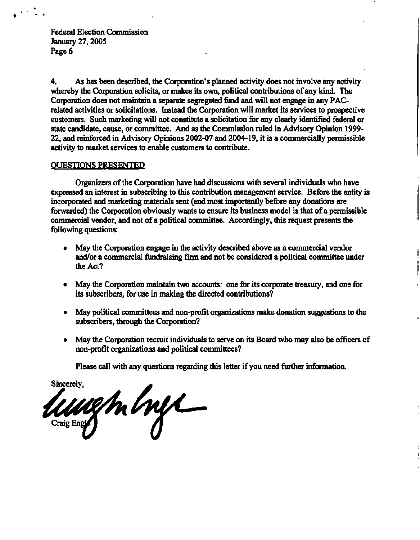**4. As has been described, the Corporation's planned activity does not involve any activity whereby the Corporation solicits, or makes its own, political contributions of any kind. The Corporation does not maintain a separate segregated fund and will not engage in any PACrelated activities or solicitations. Instead the Corporation will market its services to prospective customers. Such marketing will not constitute a solicitation for any clearly identified federal or state candidate, cause, or committee. And as the Commission ruled in Advisory Opinion 1999- 22, and reinforced in Advisory Opinions 2002-07 and 2004-19, it is a commercially permissible activity to market services to enable customers to contribute.** 

### **QUESTIONS PRESENTED**

**Organizers of the Corporation have had discussions with several individuals who have expressed an interest in subscribing to this contribution management service. Before the entity is incorporated and marketing materials sent (and most importantly before any donations are forwarded) the Corporation obviously wants to ensure its business model is that of a permissible commercial vendor, and not of a political committee. Accordingly, this request presents the following questions:** 

- **May the Corporation engage in the activity described above as a commercial vendor and/or a commercial fundraising firm and not be considered a political committee under the Act?**
- **May the Corporation maintain two accounts: one for its corporate treasury, and one for its subscribers, for use in making the directed contributions?**
- **May political committees and non-profit organizations make donation suggestions to the subscribers, through the Corporation?**
- **May the Corporation recruit individuals to serve on its Board who may also be officers of non-profit organizations and political committees?**

**Please call with any questions regarding this letter if you need further information.** 

**Sincerely, Craig Engle**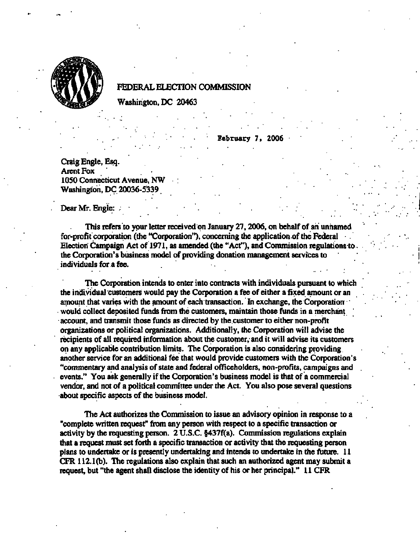

#### **FEDERAL ELECTION COMMISSION**

**Washington, DC 20463** 

**February 7, 2006** 

**Craig Engle, Esq.**  Arent Fox **1050 Connecticut Avenue, NW . Washington, DC 20036-5339** 

**Dear Mr. Engle: .** 

**This refers to your letter received on January 27,2006, on behalf of ah unnamed for-profit corporation (the "Corporation"), concerning the application of the Federal Election Campaign Act of 1971, as amended (the "Act"), and Commission regulations to . the Corporation's business model of providing donation management services to individuals for a fee.** 

**The Corporation intends to enter into contracts with individuals pursuant to which the individual customers would pay the Corporation a fee of either a fixed amount or an amount that varies with the amount of each transaction. In exchange, the Corporation would collect deposited funds from the customers, maintain those funds in a merchant account, and transmit those funds as directed by the customer to either non-profit organizations or political organizations. Additionally, the Corporation will advise the recipients of all required information about the customer, and it will advise its customers on any applicable contribution limits. The Corporation is also considering providing another service for an additional fee that would provide customers with the Corporation's "commentary and analysis of state and federal officeholders, non-profits, campaigns and events." You ask generally if the Corporation's business model is that of a commercial vendor, and not of a political committee under the Act. You also pose several questions about specific aspects of the business model.** 

**The Act authorizes the Commission to issue an advisory opinion in response to a "complete written request" from any person with respect to a specific transaction or activity by the requesting person. 2 U.S.C. §437f(a). Commission regulations explain that a request must set forth a specific transaction or activity that the requesting person plans to undertake or is presently undertaking and intends to undertake in the future. 11 CFR 112.1(b). The regulations also explain that such an authorized agent may submit a request, but "the agent shall disclose the identity of his or her principal." 11 CFR**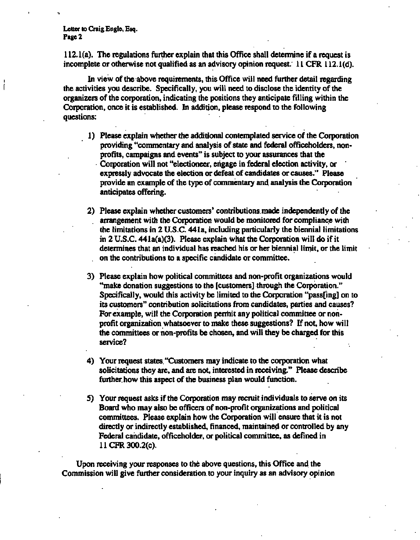**Letter to Craig Engle, Esq. Page 2** 

**112.1(a). The regulations further explain that this Office shall determine if a request is incomplete or otherwise not qualified as an advisory opinion request. 11 CFR 112.1(d).** 

**In view of the above requirements, this Office will need further detail regarding the activities you describe. Specifically, you will need to disclose the identity of the organizers of the corporation, indicating the positions they anticipate filling within the Corporation, once it is established. In addition, please respond to the following questions:** 

- **1) Please explain whether the additional contemplated service of the Corporation providing "commentary and analysis of state and federal officeholders, nonprofits, campaigns and events" is subject to your assurances that the Corporation will not "electioneer, engage in federal election activity, or expressly advocate the election or defeat of candidates or causes." Please provide an example of the type of commentary and analysis the Corporation anticipates offering.**
- **2) Please explain whether customers' contributions, made independently of the arrangement with the Corporation would be monitored for compliance with the limitations in 2 U.S.C. 441a, including particularly the biennial limitations in 2 U.S.C. 441a(a)(3). Please explain what the Corporation will do if it determines that an individual has reached his or her biennial limit, or the limit on the contributions to a specific candidate or committee.**
- **3) Please explain how political committees and non-profit organizations would "make donation suggestions to the [customers] through the Corporation." Specifically, would this activity be limited to the Corporation "passfing] on to its customers" contribution solicitations from candidates, parties and causes?**  For example, will the Corporation permit any political committee or non**profit organization whatsoever to make these suggestions? If not, how will the committees or non-profits be chosen, and will they be charged for this service?**
- **4) Your request states. "Customers may indicate to the corporation what solicitations they are, and are not, interested in receiving." Please describe further how this aspect of the business plan would function.**
- **5) Your request asks if the Corporation may recruit individuals to serve on its Board who may also be officers of non-profit organizations and political committees. Please explain how the Corporation will ensure that it is not directly or indirectly established, financed, maintained or controlled by any Federal candidate, officeholder, or political committee, as defined in 11 CFR 300.2(c).**

**Upon receiving your responses to the above questions, this Office and the Commission will give further consideration.to your inquiry as an advisory opinion**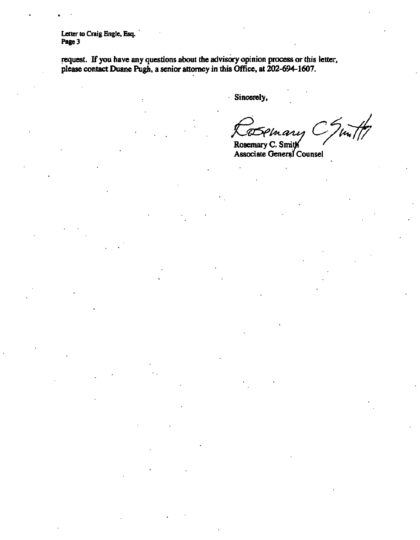**Letter to Craig Engle, Esq. Page 3** 

**request. If you have any questions about the advisory opinion process or this letter, please contact Duane Pugh, a senior attorney in this Office, at 202-694-1607.** 

**Sincerely,** 

**Rosemary C. Smith Associate General Counsel**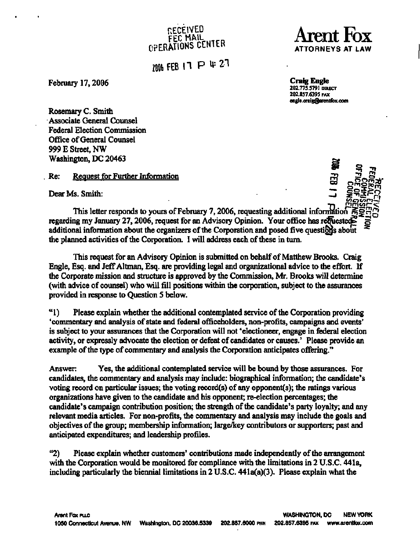# **RECEIVED FEC MAIL i-rr <sup>n</sup> OPERATIONS CENTER**

**Mb FEB H PU>2 1** 

February 17, 2006 **Craig Engle** 

Arent Fox **ATTORNEYS AT LAW** 

**[202.77S.S791 D](202.77S.S791)IRECT 202.8S7.639S FAX [engle.craig@arentfox.com](mailto:engle.craig@arentfox.com)** 

**Rosemary C. Smith Associate General Counsel Federal Election Commission Office of General Counsel 999 E Street, NW Washington, DC 20463** 

**Re: Request for Further Information** 

**Dear Ms. Smith:** 



 $\frac{11}{100}$  This letter responds to yours of February 7, 2006, requesting additional information regarding my January 27, 2006, request for an Advisory Opinion. Your office has reducsted additional information about the organizers of the Corporation and posed five questions about **the planned activities of the Corporation. I will address each of these in turn.** 

**This request for an Advisory Opinion is submitted on behalf of Matthew Brooks. Craig**  Engle, Esq. and Jeff Altman, Esq. are providing legal and organizational advice to the effort. If **the Corporate mission and structure is approved by the Commission, Mr. Brooks will determine (with advice of counsel) who will fill positions within the corporation, subject to the assurances provided in response to Question 5 below.** 

**" 1) Please explain whether the additional contemplated service of the Corporation providing 'commentary and analysis of state and federal officeholders, non-profits, campaigns and events' is subject to your assurances that the Corporation will not 'electioneer, engage in federal election activity, or expressly advocate the election or defeat of candidates or causes.' Please provide an example of the type of commentary and analysis the Corporation anticipates offering."** 

**Answer: Yes, the additional contemplated service will be bound by those assurances. For candidates, the commentary and analysis may include: biographical information; the candidate's**  voting record on particular issues; the voting record(s) of any opponent(s); the ratings various **organizations have given to the candidate and his opponent; re-election percentages; the candidate's campaign contribution position; the strength of the candidate's party loyalty; and any relevant media articles. For non-profits, the commentary and analysis may include the goals and objectives of the group; membership information; large/key contributors or supporters; past and anticipated expenditures; and leadership profiles.** 

**"2) Please explain whether customers' contributions made independently of the arrangement with the Corporation would be monitored for compliance with the limitations in 2 U.S.C. 441a, including particularly the biennial limitations in 2 U.S.C. 441a(a)(3). Please explain what the**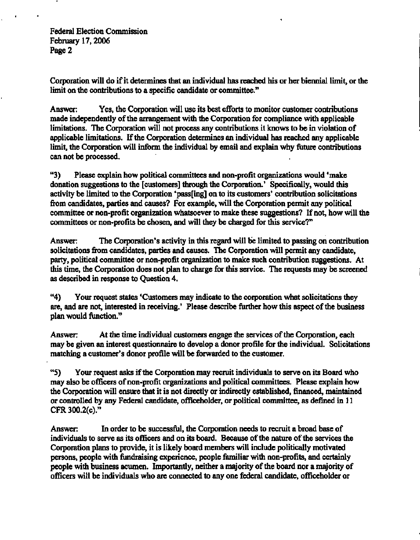**Federal Election Commission February 17,2006 Page 2** 

**Corporation will do if it determines that an individual has reached his or her biennial limit, or the limit on the contributions to a specific candidate or committee."** 

**Answer: Yes, the Corporation will use its best efforts to monitor customer contributions made independently of the arrangement with the Corporation for compliance with applicable limitations. The Corporation will not process any contributions it knows to be in violation of applicable limitations. If the Corporation determines an individual has reached any applicable limit, the Corporation will inform the individual by email and explain why future contributions can not be processed.** 

**"3) Please explain how political committees and non-profit organizations would 'make donation suggestions to the [customers] through the Corporation.' Specifically, would this activity be limited to the Corporation 'pass[ing] on to its customers' contribution solicitations from candidates, parties and causes? For example, will the Corporation permit any political committee or non-profit organization whatsoever to make these suggestions? If not, how will the committees or non-profits be chosen, and will they be charged for this service?"** 

**Answer: The Corporation's activity in this regard will be limited to passing on contribution solicitations from candidates, parties and causes. The Corporation will permit any candidate, party, political committee or non-profit organization to make such contribution suggestions. At this time, the Corporation does not plan to charge for this service. The requests may be screened as described in response to Question 4.** 

**"4) Your request states 'Customers may indicate to the corporation what solicitations they are, and are not, interested in receiving.' Please describe further how this aspect of the business plan would function."** 

**Answer: At the time individual customers engage the services of the Corporation, each may be given an interest questionnaire to develop a donor profile for the individual. Solicitations matching a customer's donor profile will be forwarded to the customer.** 

**"5) Your request asks if the Corporation may recruit individuals to serve on its Board who may also be officers of non-profit organizations and political committees. Please explain how the Corporation will ensure that it is not directly or indirectly established, financed, maintained or controlled by any Federal candidate, officeholder, or political committee, as defined in 11 CFR 300.2(c)."** 

**Answer: In order to be successful, the Corporation needs to recruit a broad base of individuals to serve as its officers and on its board. Because of the nature of the services the Corporation plans to provide, it is likely board members will include politically motivated persons, people with fundraising experience, people familiar with non-profits, and certainly people with business acumen. Importantly, neither a majority of the board nor a majority of officers will be individuals who are connected to any one federal candidate, officeholder or**